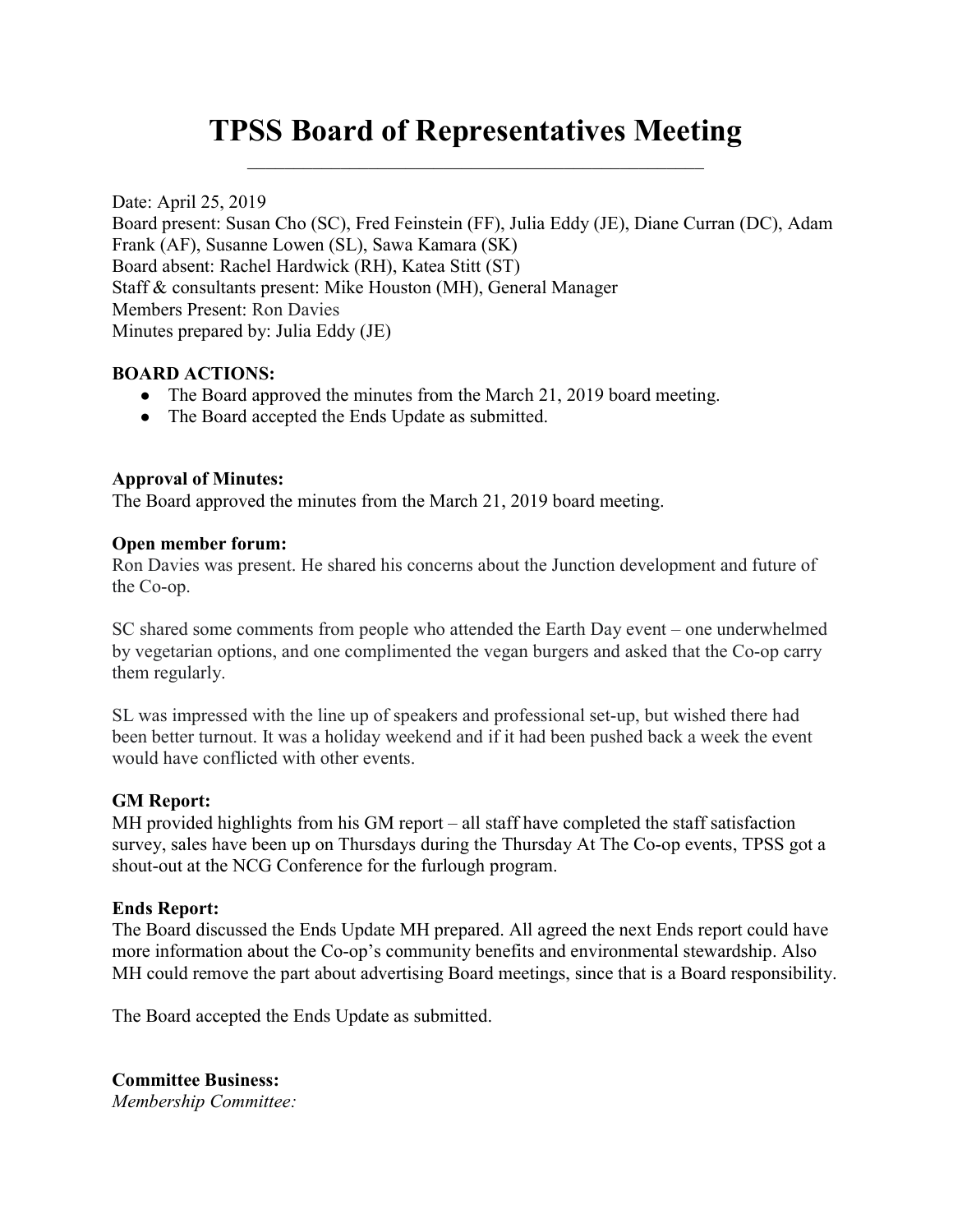# TPSS Board of Representatives Meeting

Date: April 25, 2019 Board present: Susan Cho (SC), Fred Feinstein (FF), Julia Eddy (JE), Diane Curran (DC), Adam Frank (AF), Susanne Lowen (SL), Sawa Kamara (SK) Board absent: Rachel Hardwick (RH), Katea Stitt (ST) Staff & consultants present: Mike Houston (MH), General Manager Members Present: Ron Davies Minutes prepared by: Julia Eddy (JE)

## BOARD ACTIONS:

- The Board approved the minutes from the March 21, 2019 board meeting.
- The Board accepted the Ends Update as submitted.

## Approval of Minutes:

The Board approved the minutes from the March 21, 2019 board meeting.

### Open member forum:

Ron Davies was present. He shared his concerns about the Junction development and future of the Co-op.

SC shared some comments from people who attended the Earth Day event – one underwhelmed by vegetarian options, and one complimented the vegan burgers and asked that the Co-op carry them regularly.

SL was impressed with the line up of speakers and professional set-up, but wished there had been better turnout. It was a holiday weekend and if it had been pushed back a week the event would have conflicted with other events.

### GM Report:

MH provided highlights from his GM report – all staff have completed the staff satisfaction survey, sales have been up on Thursdays during the Thursday At The Co-op events, TPSS got a shout-out at the NCG Conference for the furlough program.

### Ends Report:

The Board discussed the Ends Update MH prepared. All agreed the next Ends report could have more information about the Co-op's community benefits and environmental stewardship. Also MH could remove the part about advertising Board meetings, since that is a Board responsibility.

The Board accepted the Ends Update as submitted.

Committee Business: Membership Committee: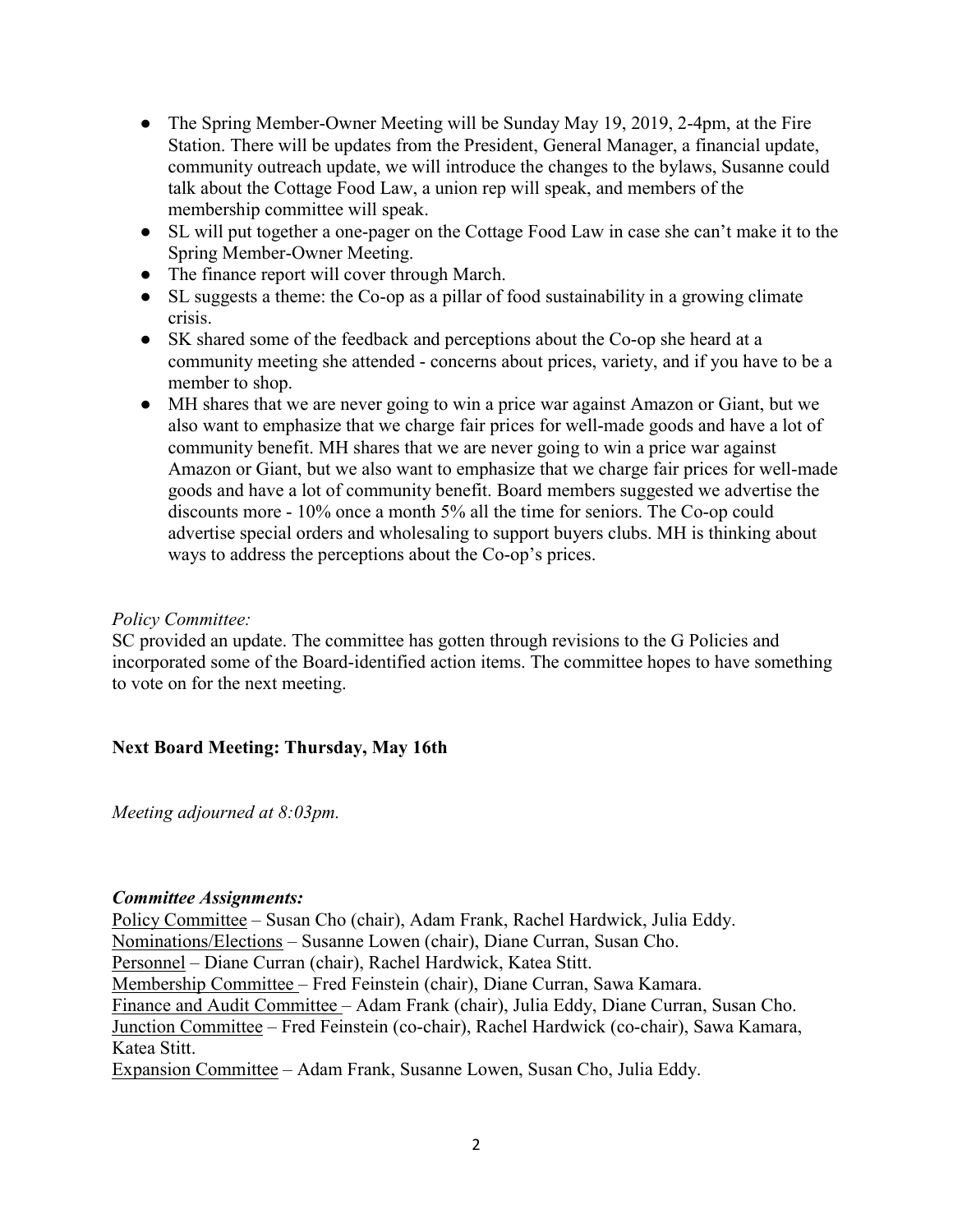- The Spring Member-Owner Meeting will be Sunday May 19, 2019, 2-4pm, at the Fire Station. There will be updates from the President, General Manager, a financial update, community outreach update, we will introduce the changes to the bylaws, Susanne could talk about the Cottage Food Law, a union rep will speak, and members of the membership committee will speak.
- SL will put together a one-pager on the Cottage Food Law in case she can't make it to the Spring Member-Owner Meeting.
- The finance report will cover through March.
- SL suggests a theme: the Co-op as a pillar of food sustainability in a growing climate crisis.
- SK shared some of the feedback and perceptions about the Co-op she heard at a community meeting she attended - concerns about prices, variety, and if you have to be a member to shop.
- MH shares that we are never going to win a price war against Amazon or Giant, but we also want to emphasize that we charge fair prices for well-made goods and have a lot of community benefit. MH shares that we are never going to win a price war against Amazon or Giant, but we also want to emphasize that we charge fair prices for well-made goods and have a lot of community benefit. Board members suggested we advertise the discounts more - 10% once a month 5% all the time for seniors. The Co-op could advertise special orders and wholesaling to support buyers clubs. MH is thinking about ways to address the perceptions about the Co-op's prices.

#### Policy Committee:

SC provided an update. The committee has gotten through revisions to the G Policies and incorporated some of the Board-identified action items. The committee hopes to have something to vote on for the next meeting.

### Next Board Meeting: Thursday, May 16th

Meeting adjourned at 8:03pm.

#### Committee Assignments:

Policy Committee – Susan Cho (chair), Adam Frank, Rachel Hardwick, Julia Eddy. Nominations/Elections – Susanne Lowen (chair), Diane Curran, Susan Cho. Personnel – Diane Curran (chair), Rachel Hardwick, Katea Stitt. Membership Committee – Fred Feinstein (chair), Diane Curran, Sawa Kamara. Finance and Audit Committee – Adam Frank (chair), Julia Eddy, Diane Curran, Susan Cho. Junction Committee – Fred Feinstein (co-chair), Rachel Hardwick (co-chair), Sawa Kamara, Katea Stitt. Expansion Committee – Adam Frank, Susanne Lowen, Susan Cho, Julia Eddy.